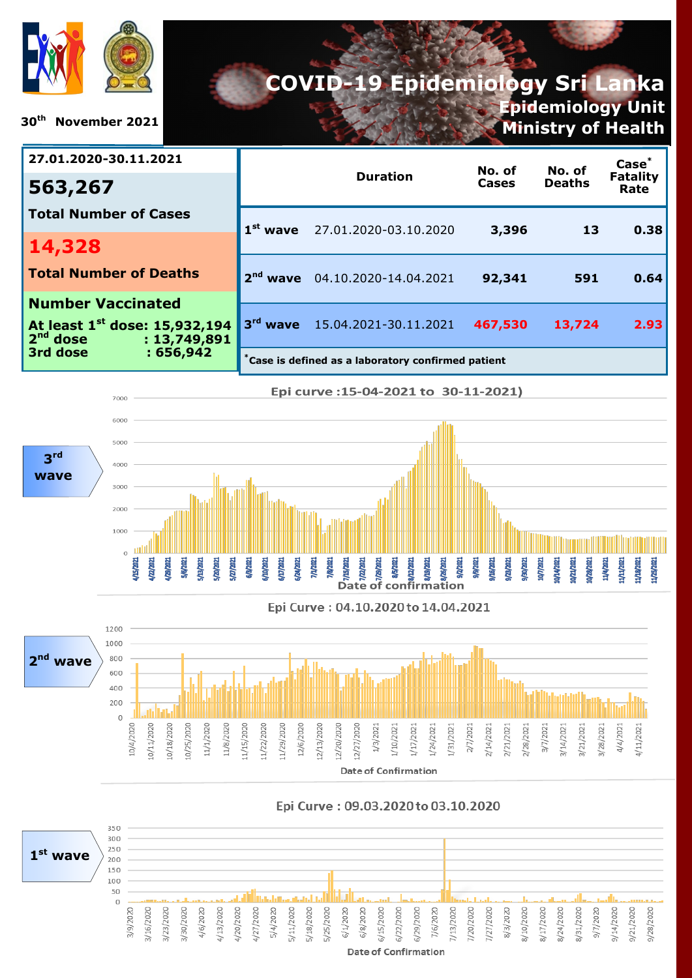

**30th November 2021**

# **COVID-19 Epidemiology Sri Lanka Epidemiology Unit**

**Ministry of Health**

| 27.01.2020-30.11.2021                                                   |                                                   | No. of                           | No. of  | Case <sup>*</sup> |                         |  |
|-------------------------------------------------------------------------|---------------------------------------------------|----------------------------------|---------|-------------------|-------------------------|--|
| 563,267                                                                 |                                                   | <b>Duration</b>                  | Cases   | <b>Deaths</b>     | <b>Fatality</b><br>Rate |  |
| <b>Total Number of Cases</b>                                            |                                                   | $1st$ wave 27.01.2020-03.10.2020 | 3,396   | 13                | 0.38                    |  |
| 14,328                                                                  |                                                   |                                  |         |                   |                         |  |
| <b>Total Number of Deaths</b>                                           | 2 <sup>nd</sup>                                   | wave 04.10.2020-14.04.2021       | 92,341  | 591               | 0.64                    |  |
| <b>Number Vaccinated</b>                                                |                                                   |                                  |         |                   |                         |  |
| At least 1 <sup>st</sup> dose: 15,932,194<br>$2nd$ dose<br>: 13,749,891 | $3rd$ wave                                        | 15.04.2021-30.11.2021            | 467,530 | 13,724            | 2.93                    |  |
| 3rd dose<br>: 656,942                                                   | Case is defined as a laboratory confirmed patient |                                  |         |                   |                         |  |



Epi Curve: 04.10.2020 to 14.04.2021



Epi Curve: 09.03.2020 to 03.10.2020